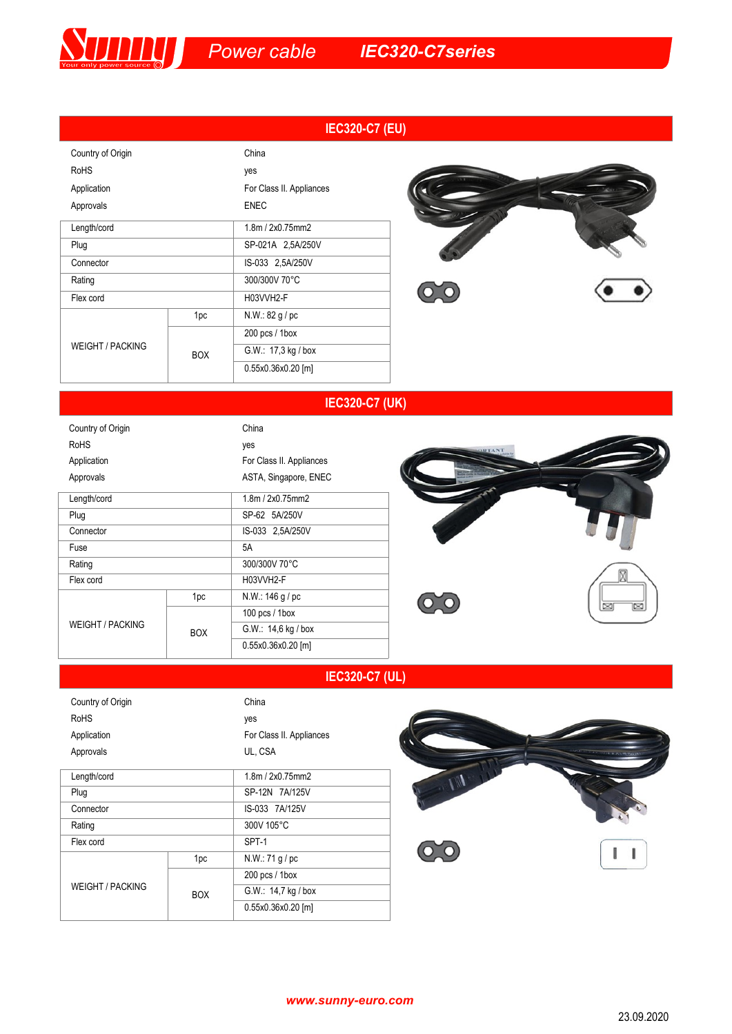|                         |            | <b>IEC320-C7 (EU)</b>    |  |
|-------------------------|------------|--------------------------|--|
| Country of Origin       |            | China                    |  |
| <b>RoHS</b>             |            | yes                      |  |
| Application             |            | For Class II. Appliances |  |
| Approvals               |            | <b>ENEC</b>              |  |
| Length/cord             |            | 1.8m / 2x0.75mm2         |  |
| Plug                    |            | SP-021A 2,5A/250V        |  |
| Connector               |            | IS-033 2,5A/250V         |  |
| Rating                  |            | 300/300V 70°C            |  |
| Flex cord               |            | H03VVH2-F                |  |
| <b>WEIGHT / PACKING</b> | 1pc        | N.W.: 82 g/pc            |  |
|                         | <b>BOX</b> | $200$ pcs / 1box         |  |
|                         |            | G.W.: 17,3 kg / box      |  |
|                         |            | 0.55x0.36x0.20 [m]       |  |



## **IEC320-C7 (UK)**

| Country of Origin       |            |                      | China                    |
|-------------------------|------------|----------------------|--------------------------|
| <b>RoHS</b>             |            |                      | yes                      |
| Application             |            |                      | For Class II. Appliances |
| Approvals               |            |                      | ASTA, Singapore, ENEC    |
| Length/cord             |            |                      | 1.8m / 2x0.75mm2         |
| Plug                    |            |                      | SP-62 5A/250V            |
| Connector               |            |                      | IS-033 2,5A/250V         |
| Fuse                    |            |                      | 5A                       |
| Rating                  |            |                      | 300/300V 70°C            |
| Flex cord               |            |                      | H03VVH2-F                |
| <b>WEIGHT / PACKING</b> | 1pc        | N.W.: 146 g/pc       |                          |
|                         | <b>BOX</b> | 100 pcs $/$ 1 box    |                          |
|                         |            | G.W.: 14,6 kg / box  |                          |
|                         |            | $0.55x0.36x0.20$ [m] |                          |
|                         |            |                      |                          |



## **IEC320-C7 (UL)**

| Country of Origin       |            | China                    |
|-------------------------|------------|--------------------------|
| <b>RoHS</b>             |            | yes                      |
| Application             |            | For Class II. Appliances |
| Approvals               |            | UL, CSA                  |
| Length/cord             |            | 1.8m / 2x0.75mm          |
| Plug                    |            | SP-12N 7A/125V           |
| Connector               |            | IS-033 7A/125V           |
| Rating                  |            | 300V 105°C               |
| Flex cord               |            | SPT-1                    |
| <b>WEIGHT / PACKING</b> | 1pc        | N.W.: 71 g/pc            |
|                         | <b>BOX</b> | $200$ pcs / 1box         |
|                         |            | G.W.: 14,7 kg / box      |
|                         |            | 0.55x0.36x0.20 [m]       |



*www.sunny-euro.com*